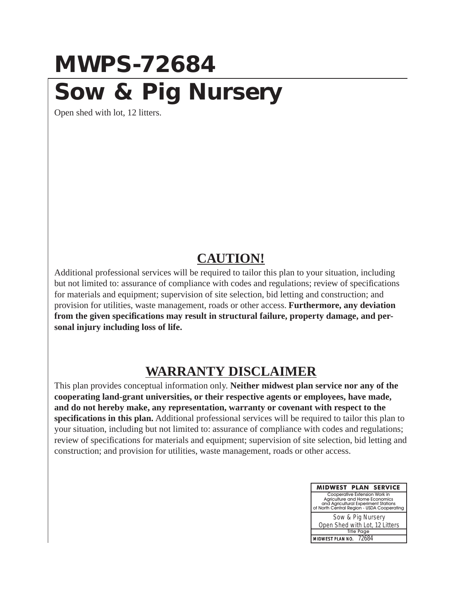## **MWPS-72684 Sow & Pig Nursery**

Open shed with lot, 12 litters.

## **CAUTION!**

Additional professional services will be required to tailor this plan to your situation, including but not limited to: assurance of compliance with codes and regulations; review of specifications for materials and equipment; supervision of site selection, bid letting and construction; and provision for utilities, waste management, roads or other access. **Furthermore, any deviation from the given specifications may result in structural failure, property damage, and personal injury including loss of life.**

## **WARRANTY DISCLAIMER**

This plan provides conceptual information only. **Neither midwest plan service nor any of the cooperating land-grant universities, or their respective agents or employees, have made, and do not hereby make, any representation, warranty or covenant with respect to the specifications in this plan.** Additional professional services will be required to tailor this plan to your situation, including but not limited to: assurance of compliance with codes and regulations; review of specifications for materials and equipment; supervision of site selection, bid letting and construction; and provision for utilities, waste management, roads or other access.

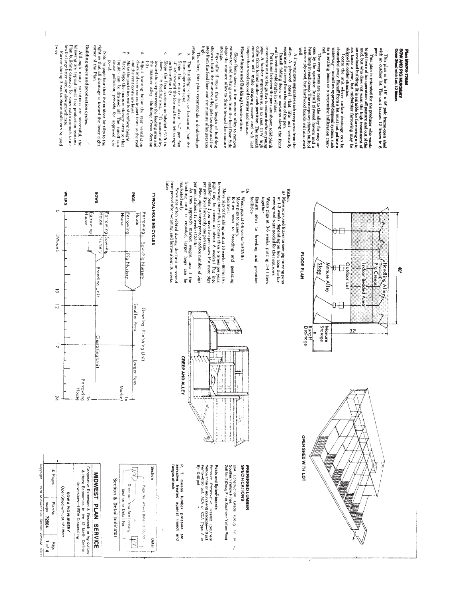following are typical meat hog production systems. Following are typical meat hog production systems, on the for large litter size or slow growth rate and solution for Extreme during 3 weeks. Some stalls can be used **DWIGE** stor<br>gasetially if more than the length of building shown is built. the manure alley gets too deep and the<br>sight from the feed floor and the manure alley gets too Building space and production cycles. corner of the Plan Note on page four that the outdoor lot tilts to the right so that all drainage is toward the lower right or concrete out to the gutter to reduce data on young on concrete out to the gutter to reduce data on young curse (2x12 forms) under each each case 11  $W$  high curse (2x12 forms) under each each case of a simple concrete system Slope floors down to the manure alley to remove<br>rainwater and melting snow from the feed floor. Side<br>slope the manure alley to drain toward the manure A 4' swing gate separates each creep area from the alloy  $\mathcal{A}$  4' swing gate separates the creep from  $\mathcal{A}$ . Its out vertically separates the creep from  $\mathcal{A}$  is the creep from  $\mathcal{A}$ . The controlling doors or PTs plan is intereded for the producer who wants to This plan is intereded for the producer who wants to get the order of the producer of the main detection of passing and on order the main detection of the same that the Floor Slopes and Building Construction The creep areas are next to the alley for easy access and the control of the control of the control of the state of the control of the control of the control of the control of the control of the control of the control of channeled away. Runoff from a lot must not politie a waterway—instail an approved disposal system, such as a settling basin or a serpentine infiltration chanlaw<sub>1</sub> R Plan MWPS-72644<br>SOW AND PIG NURSERY<br>Open Shed with Lot, 12 Bluers skipped in colder climates. This plan is for a 16'  $x$  48' pole frame-open shed with an outdoor lot. The unit bouses 12 litters in 6 Although many variations  $\overline{a}$  $\alpha$  $\phi$ F ţ. Therefore, this plan recommends a double-slope  $\pmb{\Lambda}$  Adjust Irianing below the rear ventilation and the two notables repeat thems as the roof and the two notables are lead in inform height. That<br>is shown as a set of the second ones are lead in the function was the  $4\frac{7}{4}$  As ioward the low end from left to right  $6\frac{1}{4}$  or right  $6\frac{1}{4}$  and the front sections as labeled  $v^n$  fit incomes  $v^n$  it fecting area.  $v^n$  it manne alley toward the step between the feeding area and Fartitions between the pens are shown solid plank Locate the unit where surface drainage can be tions slape to one end.<br>Slope the entire floor about  $\mathbb{N}_0$ , per foot posal. The building is level, or horizontal, but the are successful, the



 $\hat{p}$ 

 $\mathbf{I}% _{0}\left( \mathbf{I}_{0}\right)$ 

 $1014$ Page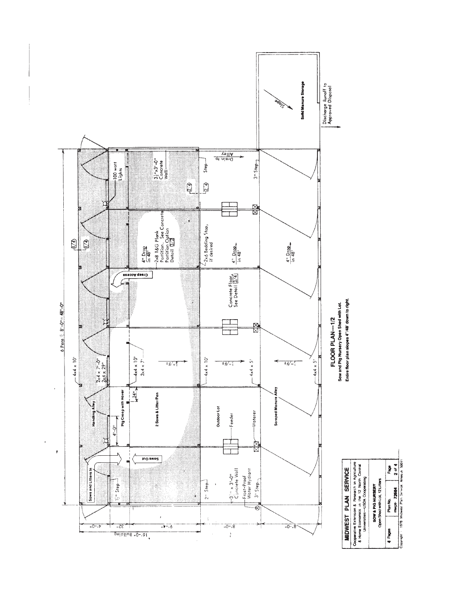

 $\ddot{\phantom{0}}$ 

**4 Pages** Plan Hotel<br>Copyright in 1985, experiment and the copyright in 1997<br>Copyright is 1997 Michael Plan Secret American SQ011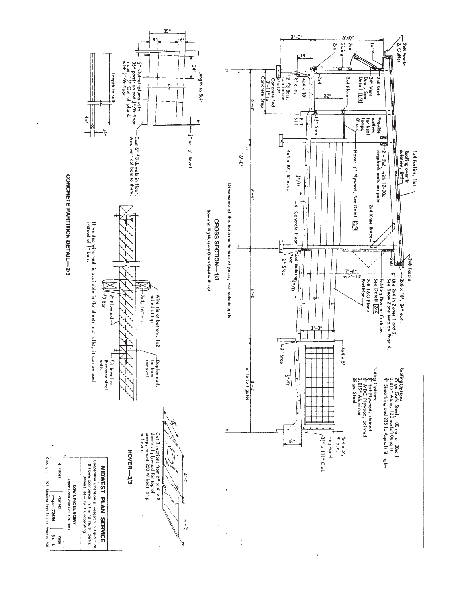